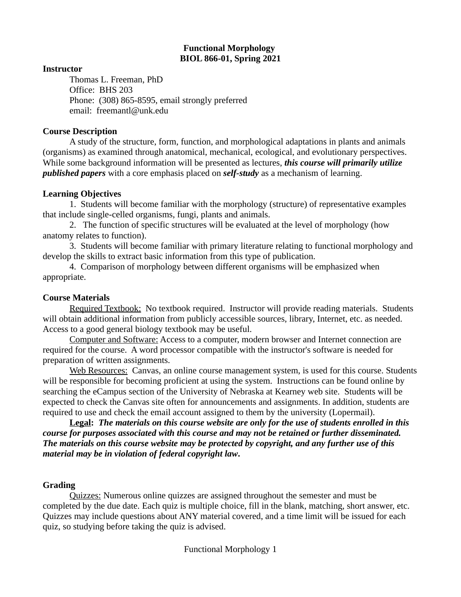## **Functional Morphology BIOL 866-01, Spring 2021**

### **Instructor**

Thomas L. Freeman, PhD Office: BHS 203 Phone: (308) 865-8595, email strongly preferred email: freemantl@unk.edu

### **Course Description**

A study of the structure, form, function, and morphological adaptations in plants and animals (organisms) as examined through anatomical, mechanical, ecological, and evolutionary perspectives. While some background information will be presented as lectures, *this course will primarily utilize published papers* with a core emphasis placed on *self-study* as a mechanism of learning.

## **Learning Objectives**

1. Students will become familiar with the morphology (structure) of representative examples that include single-celled organisms, fungi, plants and animals.

2. The function of specific structures will be evaluated at the level of morphology (how anatomy relates to function).

3. Students will become familiar with primary literature relating to functional morphology and develop the skills to extract basic information from this type of publication.

4. Comparison of morphology between different organisms will be emphasized when appropriate.

## **Course Materials**

Required Textbook: No textbook required. Instructor will provide reading materials. Students will obtain additional information from publicly accessible sources, library, Internet, etc. as needed. Access to a good general biology textbook may be useful.

Computer and Software: Access to a computer, modern browser and Internet connection are required for the course. A word processor compatible with the instructor's software is needed for preparation of written assignments.

Web Resources: Canvas, an online course management system, is used for this course. Students will be responsible for becoming proficient at using the system. Instructions can be found online by searching the eCampus section of the University of Nebraska at Kearney web site. Students will be expected to check the Canvas site often for announcements and assignments. In addition, students are required to use and check the email account assigned to them by the university (Lopermail).

**Legal:** *The materials on this course website are only for the use of students enrolled in this course for purposes associated with this course and may not be retained or further disseminated. The materials on this course website may be protected by copyright, and any further use of this material may be in violation of federal copyright law***.**

# **Grading**

Quizzes: Numerous online quizzes are assigned throughout the semester and must be completed by the due date. Each quiz is multiple choice, fill in the blank, matching, short answer, etc. Quizzes may include questions about ANY material covered, and a time limit will be issued for each quiz, so studying before taking the quiz is advised.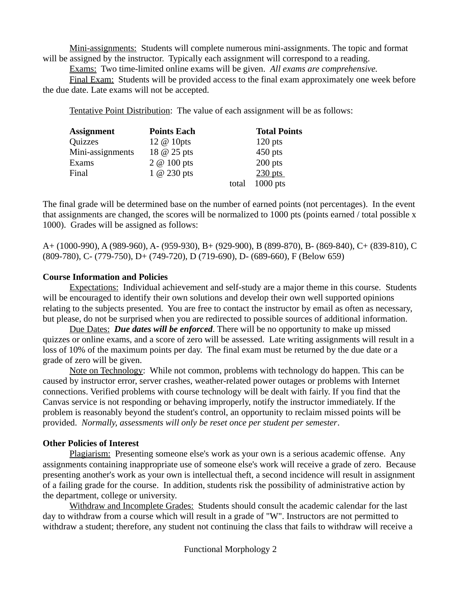Mini-assignments: Students will complete numerous mini-assignments. The topic and format will be assigned by the instructor. Typically each assignment will correspond to a reading.

Exams: Two time-limited online exams will be given. *All exams are comprehensive.*

Final Exam: Students will be provided access to the final exam approximately one week before the due date. Late exams will not be accepted.

Tentative Point Distribution: The value of each assignment will be as follows:

| <b>Assignment</b> | <b>Points Each</b> |       | <b>Total Points</b> |
|-------------------|--------------------|-------|---------------------|
| Quizzes           | 12 @ 10pts         |       | $120$ pts           |
| Mini-assignments  | 18 @ 25 pts        |       | $450$ pts           |
| Exams             | $2 \omega 100$ pts |       | $200$ pts           |
| Final             | $1 \omega$ 230 pts |       | $230$ pts           |
|                   |                    | total | $1000$ pts          |

The final grade will be determined base on the number of earned points (not percentages). In the event that assignments are changed, the scores will be normalized to 1000 pts (points earned / total possible x 1000). Grades will be assigned as follows:

A+ (1000-990), A (989-960), A- (959-930), B+ (929-900), B (899-870), B- (869-840), C+ (839-810), C (809-780), C- (779-750), D+ (749-720), D (719-690), D- (689-660), F (Below 659)

# **Course Information and Policies**

Expectations: Individual achievement and self-study are a major theme in this course. Students will be encouraged to identify their own solutions and develop their own well supported opinions relating to the subjects presented. You are free to contact the instructor by email as often as necessary, but please, do not be surprised when you are redirected to possible sources of additional information.

Due Dates: *Due dates will be enforced*. There will be no opportunity to make up missed quizzes or online exams, and a score of zero will be assessed. Late writing assignments will result in a loss of 10% of the maximum points per day. The final exam must be returned by the due date or a grade of zero will be given.

Note on Technology: While not common, problems with technology do happen. This can be caused by instructor error, server crashes, weather-related power outages or problems with Internet connections. Verified problems with course technology will be dealt with fairly. If you find that the Canvas service is not responding or behaving improperly, notify the instructor immediately. If the problem is reasonably beyond the student's control, an opportunity to reclaim missed points will be provided. *Normally, assessments will only be reset once per student per semester*.

# **Other Policies of Interest**

Plagiarism: Presenting someone else's work as your own is a serious academic offense. Any assignments containing inappropriate use of someone else's work will receive a grade of zero. Because presenting another's work as your own is intellectual theft, a second incidence will result in assignment of a failing grade for the course. In addition, students risk the possibility of administrative action by the department, college or university.

Withdraw and Incomplete Grades: Students should consult the academic calendar for the last day to withdraw from a course which will result in a grade of "W". Instructors are not permitted to withdraw a student; therefore, any student not continuing the class that fails to withdraw will receive a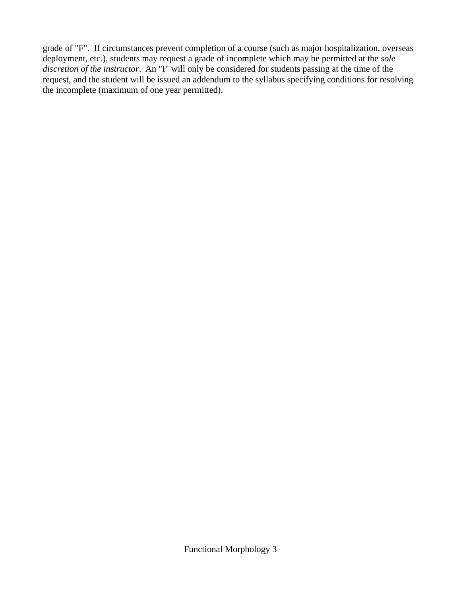grade of "F". If circumstances prevent completion of a course (such as major hospitalization, overseas deployment, etc.), students may request a grade of incomplete which may be permitted at the *sole discretion of the instructor*. An "I" will only be considered for students passing at the time of the request, and the student will be issued an addendum to the syllabus specifying conditions for resolving the incomplete (maximum of one year permitted).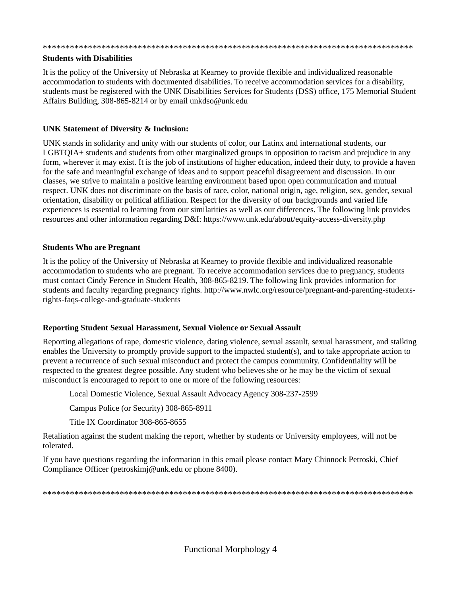#### \*\*\*\*\*\*\*\*\*\*\*\*\*\*\*\*\*\*\*\*\*\*\*\*\*\*\*\*\*\*\*\*\*\*\*\*\*\*\*\*\*\*\*\*\*\*\*\*\*\*\*\*\*\*\*\*\*\*\*\*\*\*\*\*\*\*\*\*\*\*\*\*\*\*\*\*\*\*\*\*\*\*

#### **Students with Disabilities**

It is the policy of the University of Nebraska at Kearney to provide flexible and individualized reasonable accommodation to students with documented disabilities. To receive accommodation services for a disability, students must be registered with the UNK Disabilities Services for Students (DSS) office, 175 Memorial Student Affairs Building, 308-865-8214 or by email unkdso@unk.edu

### **UNK Statement of Diversity & Inclusion:**

UNK stands in solidarity and unity with our students of color, our Latinx and international students, our LGBTQIA+ students and students from other marginalized groups in opposition to racism and prejudice in any form, wherever it may exist. It is the job of institutions of higher education, indeed their duty, to provide a haven for the safe and meaningful exchange of ideas and to support peaceful disagreement and discussion. In our classes, we strive to maintain a positive learning environment based upon open communication and mutual respect. UNK does not discriminate on the basis of race, color, national origin, age, religion, sex, gender, sexual orientation, disability or political affiliation. Respect for the diversity of our backgrounds and varied life experiences is essential to learning from our similarities as well as our differences. The following link provides resources and other information regarding D&I: https://www.unk.edu/about/equity-access-diversity.php

### **Students Who are Pregnant**

It is the policy of the University of Nebraska at Kearney to provide flexible and individualized reasonable accommodation to students who are pregnant. To receive accommodation services due to pregnancy, students must contact Cindy Ference in Student Health, 308-865-8219. The following link provides information for students and faculty regarding pregnancy rights. http://www.nwlc.org/resource/pregnant-and-parenting-studentsrights-faqs-college-and-graduate-students

### **Reporting Student Sexual Harassment, Sexual Violence or Sexual Assault**

Reporting allegations of rape, domestic violence, dating violence, sexual assault, sexual harassment, and stalking enables the University to promptly provide support to the impacted student(s), and to take appropriate action to prevent a recurrence of such sexual misconduct and protect the campus community. Confidentiality will be respected to the greatest degree possible. Any student who believes she or he may be the victim of sexual misconduct is encouraged to report to one or more of the following resources:

Local Domestic Violence, Sexual Assault Advocacy Agency 308-237-2599

Campus Police (or Security) 308-865-8911

Title IX Coordinator 308-865-8655

Retaliation against the student making the report, whether by students or University employees, will not be tolerated.

If you have questions regarding the information in this email please contact Mary Chinnock Petroski, Chief Compliance Officer (petroskimj@unk.edu or phone 8400).

\*\*\*\*\*\*\*\*\*\*\*\*\*\*\*\*\*\*\*\*\*\*\*\*\*\*\*\*\*\*\*\*\*\*\*\*\*\*\*\*\*\*\*\*\*\*\*\*\*\*\*\*\*\*\*\*\*\*\*\*\*\*\*\*\*\*\*\*\*\*\*\*\*\*\*\*\*\*\*\*\*\*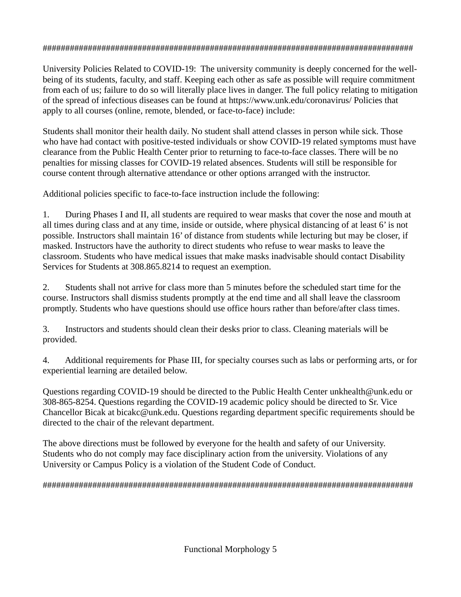# ##################################################################################

University Policies Related to COVID-19: The university community is deeply concerned for the wellbeing of its students, faculty, and staff. Keeping each other as safe as possible will require commitment from each of us; failure to do so will literally place lives in danger. The full policy relating to mitigation of the spread of infectious diseases can be found at https://www.unk.edu/coronavirus/ Policies that apply to all courses (online, remote, blended, or face-to-face) include:

Students shall monitor their health daily. No student shall attend classes in person while sick. Those who have had contact with positive-tested individuals or show COVID-19 related symptoms must have clearance from the Public Health Center prior to returning to face-to-face classes. There will be no penalties for missing classes for COVID-19 related absences. Students will still be responsible for course content through alternative attendance or other options arranged with the instructor.

Additional policies specific to face-to-face instruction include the following:

1. During Phases I and II, all students are required to wear masks that cover the nose and mouth at all times during class and at any time, inside or outside, where physical distancing of at least 6' is not possible. Instructors shall maintain 16' of distance from students while lecturing but may be closer, if masked. Instructors have the authority to direct students who refuse to wear masks to leave the classroom. Students who have medical issues that make masks inadvisable should contact Disability Services for Students at 308.865.8214 to request an exemption.

2. Students shall not arrive for class more than 5 minutes before the scheduled start time for the course. Instructors shall dismiss students promptly at the end time and all shall leave the classroom promptly. Students who have questions should use office hours rather than before/after class times.

3. Instructors and students should clean their desks prior to class. Cleaning materials will be provided.

4. Additional requirements for Phase III, for specialty courses such as labs or performing arts, or for experiential learning are detailed below.

Questions regarding COVID-19 should be directed to the Public Health Center unkhealth@unk.edu or 308-865-8254. Questions regarding the COVID-19 academic policy should be directed to Sr. Vice Chancellor Bicak at bicakc@unk.edu. Questions regarding department specific requirements should be directed to the chair of the relevant department.

The above directions must be followed by everyone for the health and safety of our University. Students who do not comply may face disciplinary action from the university. Violations of any University or Campus Policy is a violation of the Student Code of Conduct.

##################################################################################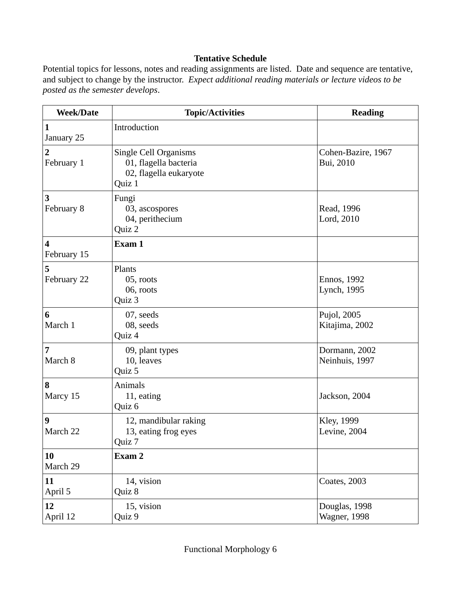# **Tentative Schedule**

Potential topics for lessons, notes and reading assignments are listed. Date and sequence are tentative, and subject to change by the instructor. *Expect additional reading materials or lecture videos to be posted as the semester develops*.

| <b>Week/Date</b>             | <b>Topic/Activities</b>                                                                   | <b>Reading</b>                  |
|------------------------------|-------------------------------------------------------------------------------------------|---------------------------------|
| $\mathbf{1}$<br>January 25   | Introduction                                                                              |                                 |
| $\overline{2}$<br>February 1 | <b>Single Cell Organisms</b><br>01, flagella bacteria<br>02, flagella eukaryote<br>Quiz 1 | Cohen-Bazire, 1967<br>Bui, 2010 |
| 3<br>February 8              | Fungi<br>03, ascospores<br>04, perithecium<br>Quiz 2                                      | Read, 1996<br>Lord, 2010        |
| 4<br>February 15             | Exam 1                                                                                    |                                 |
| 5<br>February 22             | Plants<br>05, roots<br>06, roots<br>Quiz 3                                                | Ennos, 1992<br>Lynch, 1995      |
| 6<br>March 1                 | 07, seeds<br>08, seeds<br>Quiz 4                                                          | Pujol, 2005<br>Kitajima, 2002   |
| 7<br>March 8                 | 09, plant types<br>10, leaves<br>Quiz 5                                                   | Dormann, 2002<br>Neinhuis, 1997 |
| 8<br>Marcy 15                | Animals<br>11, eating<br>Quiz 6                                                           | Jackson, 2004                   |
| 9<br>March 22                | 12, mandibular raking<br>13, eating frog eyes<br>Quiz 7                                   | Kley, 1999<br>Levine, 2004      |
| 10<br>March 29               | Exam 2                                                                                    |                                 |
| 11<br>April 5                | 14, vision<br>Quiz 8                                                                      | Coates, 2003                    |
| 12<br>April 12               | 15, vision<br>Quiz 9                                                                      | Douglas, 1998<br>Wagner, 1998   |